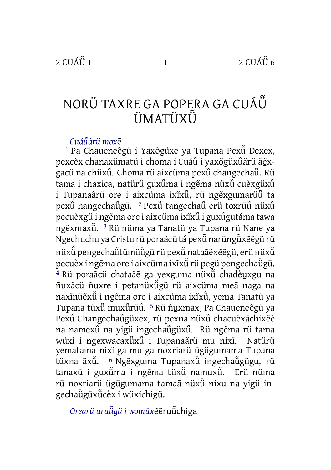# NORÜ TAXRE GA POPERA GA CUÁÜ̃ ÜMATÜXÜ̃

#### *Cuáü̃ãrü mox*ẽ

<sup>1</sup> Pa Chaueneẽgü i Yaxõgüxe ya Tupana Pex $\ddot{u}$  Dexex, pexcèx chanaxümatü i choma i Cuáũi vaxõgüxũãrü ãẽxgacü na chiĩxü̃. Choma rü aixcüma pexü̃changechaü̃. Rü tama i chaxica, natürü guxüma i ngẽma nüxu cuèxgüxu i Tupanaãrü ore i aixcüma ixīxu, rü ngẽxgumarüu ta pexü̃nangechaü̃gü. <sup>2</sup> Pexü̃ tangechau <sup>ci</sup> toxrüu nüxũ pecuèxgü i ngẽma ore i aixcüma ixĩxũ i guxũgutáma tawa ngẽxmaxü̃. 3 Rü nüma ya Tanatü ya Tupana rü Nane ya Ngechuchu ya Cristu rü poraãcü tá pexü̃narüngü̃xẽẽgü rü nüxü̃ ́pengechaü̃tümüü̃gü rü pexü̃nataãẽxẽẽgü, erü nüxü̃ pecuèx i ngẽma ore i aixcüma ixĩxü̃rü pegü pengechaü̃gü. <sup>4</sup> Rü poraãcü chataãẽ ga yexguma nüxũ chadèuxgu na ñuxãcü ñuxre i petanüxü̃gü rü aixcüma meã naga na naxĩnüẽxü̃i ngẽma ore i aixcüma ixĩxü̃, yema Tanatü ya Tupana tüxü̃ muxü̃rüü̃. <sup>5</sup> Rü ñu̯xmax, Pa Chaueneẽgü ya Pexü̃ Changechaü̃güxex, rü pexna nüxü̃ chacuèxãchixẽẽ na namexü̃na yigü ingechaü̃güxü̃. Rü ngẽma rü tama wüxi i ngexwacaxü̃xü̃ i Tupanaãrü mu nixĩ. Natürü yematama nixĩ ga mu ga noxriarü ügügumama Tupana tüxna ãxũ. <sup>6</sup> Ngẽxguma Tupanaxũ ingechaũgügu, rü tanaxü i guxü̃ma i ngẽma tüxü̃ namuxü̃. Erü nüma rü noxriarü ügügumama tamaã nüxü nixu na yigü ingechaü̃güxü̃cèx i wüxichigü.

*Orearü uruü̃gü i womüx*ẽẽruü̃chiga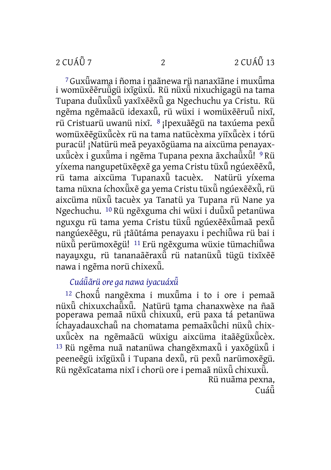<sup>7</sup> Guxü̃wama i ñoma i naãnewa rü nanaxĩãne i muxü̃ma i womüxẽẽruüşü ixĩgüxü. Rü nüxü nixuchigagü na tama Tupana duü̃xü̃xü̃yaxĩxẽẽxü̃ga Ngechuchu ya Cristu. Rü ngẽma ngẽmaãcü idexaxũ, rü wüxi i womüxẽẽruũ nixĩ, rü Cristuarü uwanü nixĩ. <sup>8</sup> ¡Ipexuãẽgü na taxúema pexü̃ womüxẽẽgüxü̃cèx rü na tama natücèxma yiĩxü̃cèx i tórü puracü! ¡Natürü meã peyaxõgüama na aixcüma penayaxuxü̃cèx i guxü̃ma i ngẽma Tupana pexna ãxchaü̃xü̃! 9 Rü yíxema nangupetüxéexé ga yema Cristu tüxü ngúexééxü, rü tama aixcüma Tupanaxü̃ tacuèx. Natürü yíxema tama nüxna íchoxü̃xẽ ga yema Cristu tüxü̃ngúexẽẽxü̃, rü aixcüma nüxü̃tacuèx ya Tanatü ya Tupana rü Nane ya Ngechuchu. <sup>10</sup> Rü ngẽxguma chi wüxi i duũxũ petanüwa nguxgu rü tama yema Cristu tüxü ngúexẽẽxümaã pexü nangúexẽẽgu, rü ¡tãũtáma penayaxu i pechiü̃wa rü bai i nüxü̃perümoxẽgü! <sup>11</sup> Erü ngẽxguma wüxie tümachiü̃wa nayauxgu, rü tananaãeraxu rü natanüxu tügü tixîxee nawa i ngẽma norü chixexü̃.

### *Cuáü̃ãrü ore ga nawa iyacuáxü̃*

<sup>12</sup> Choxü̃ ́ nangẽxma i muxü̃ma i to i ore i pemaã nüxü̃chixuxchaü̃xü̃. Natürü tama chanaxwèxe na ñaã poperawa pemaã nüxü chixuxũ, erü paxa tá petanüwa íchayadauxchaü̃na chomatama pemaãxü̃chi nüxu chixuxü̃cèx na ngẽmaãcü wüxigu aixcüma itaãẽgüxü̃cèx.  $13$  Rü ngẽma nuã natanüwa changẽxmax $\ddot{\tilde{u}}$  i yaxõgüx $\ddot{\tilde{u}}$  i peeneẽgü ixīgüxü̃ i Tupana dexuņ rü pexu narümoxẽgü. Rü ngẽxĩcatama nixĩ i chorü ore i pemaã nüxü̃chixuxü̃. Rü nuãma pexna,

Cuáü̃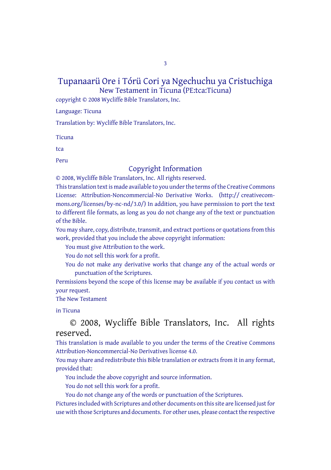3

#### Tupanaarü Ore i Tórü Cori ya Ngechuchu ya Cristuchiga New Testament in Ticuna (PE:tca:Ticuna)

copyright © 2008 Wycliffe Bible Translators, Inc.

Language: Ticuna

Translation by: Wycliffe Bible Translators, Inc.

**Ticuna** 

tca

Peru

## Copyright Information

© 2008, Wycliffe Bible Translators, Inc. All rights reserved. This translation text is made available to you under the terms of the Creative [Commons](http://creativecommons.org/licenses/by-nc-nd/4.0/) License: [Attribution-Noncommercial-No](http://creativecommons.org/licenses/by-nc-nd/4.0/) Derivative Works. (http:// creativecommons.org/licenses/by-nc-nd/3.0/) In addition, you have permission to port the text to different file formats, as long as you do not change any of the text or punctuation of the Bible.

You may share, copy, distribute, transmit, and extract portions or quotations from this work, provided that you include the above copyright information:

You must give Attribution to the work.

You do not sell this work for a profit.

You do not make any derivative works that change any of the actual words or punctuation of the Scriptures.

Permissions beyond the scope of this license may be available if you contact us with your request.

The New Testament

in Ticuna

© 2008, Wycliffe Bible Translators, Inc. All rights reserved.

This translation is made available to you under the terms of the Creative Commons Attribution-Noncommercial-No Derivatives license 4.0.

You may share and redistribute this Bible translation or extracts from it in any format, provided that:

You include the above copyright and source information.

You do not sell this work for a profit.

You do not change any of the words or punctuation of the Scriptures.

Pictures included with Scriptures and other documents on this site are licensed just for use with those Scriptures and documents. For other uses, please contact the respective